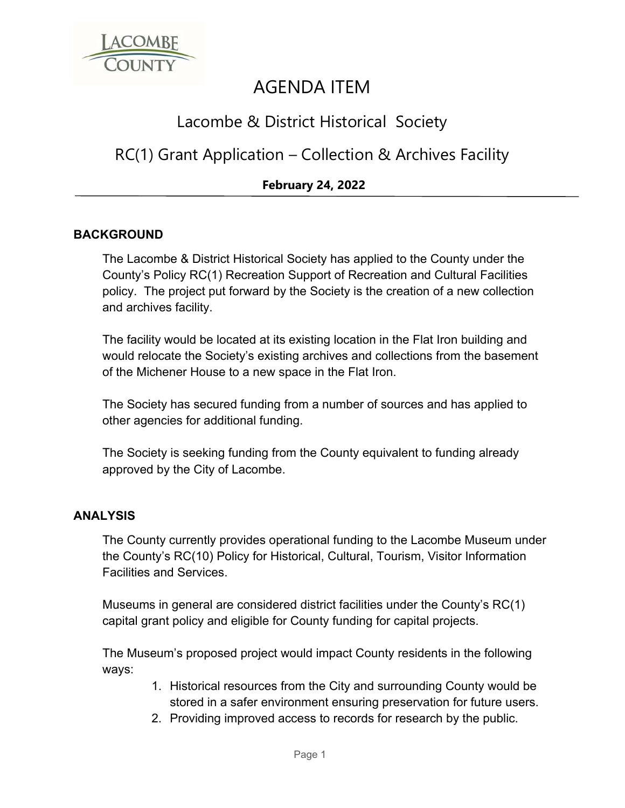

# AGENDA ITEM

## Lacombe & District Historical Society

### RC(1) Grant Application – Collection & Archives Facility

### **February 24, 2022**

#### **BACKGROUND**

The Lacombe & District Historical Society has applied to the County under the County's Policy RC(1) Recreation Support of Recreation and Cultural Facilities policy. The project put forward by the Society is the creation of a new collection and archives facility.

The facility would be located at its existing location in the Flat Iron building and would relocate the Society's existing archives and collections from the basement of the Michener House to a new space in the Flat Iron.

The Society has secured funding from a number of sources and has applied to other agencies for additional funding.

The Society is seeking funding from the County equivalent to funding already approved by the City of Lacombe.

#### **ANALYSIS**

The County currently provides operational funding to the Lacombe Museum under the County's RC(10) Policy for Historical, Cultural, Tourism, Visitor Information Facilities and Services.

Museums in general are considered district facilities under the County's RC(1) capital grant policy and eligible for County funding for capital projects.

The Museum's proposed project would impact County residents in the following ways:

- 1. Historical resources from the City and surrounding County would be stored in a safer environment ensuring preservation for future users.
- 2. Providing improved access to records for research by the public.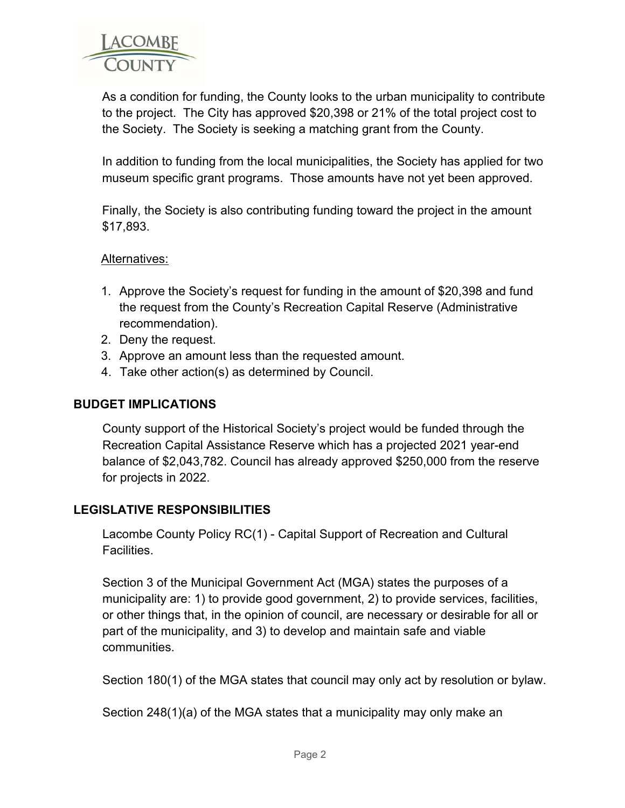

As a condition for funding, the County looks to the urban municipality to contribute to the project. The City has approved \$20,398 or 21% of the total project cost to the Society. The Society is seeking a matching grant from the County.

In addition to funding from the local municipalities, the Society has applied for two museum specific grant programs. Those amounts have not yet been approved.

Finally, the Society is also contributing funding toward the project in the amount \$17,893.

#### Alternatives:

- 1. Approve the Society's request for funding in the amount of \$20,398 and fund the request from the County's Recreation Capital Reserve (Administrative recommendation).
- 2. Deny the request.
- 3. Approve an amount less than the requested amount.
- 4. Take other action(s) as determined by Council.

#### **BUDGET IMPLICATIONS**

County support of the Historical Society's project would be funded through the Recreation Capital Assistance Reserve which has a projected 2021 year-end balance of \$2,043,782. Council has already approved \$250,000 from the reserve for projects in 2022.

#### **LEGISLATIVE RESPONSIBILITIES**

Lacombe County Policy RC(1) - Capital Support of Recreation and Cultural Facilities.

Section 3 of the Municipal Government Act (MGA) states the purposes of a municipality are: 1) to provide good government, 2) to provide services, facilities, or other things that, in the opinion of council, are necessary or desirable for all or part of the municipality, and 3) to develop and maintain safe and viable communities.

Section 180(1) of the MGA states that council may only act by resolution or bylaw.

Section 248(1)(a) of the MGA states that a municipality may only make an